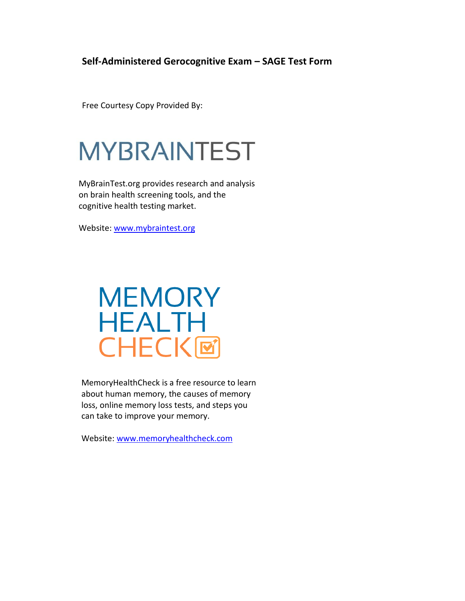### **Self-Administered Gerocognitive Exam – SAGE Test Form**

Free Courtesy Copy Provided By:

# **MYBRAINTEST**

MyBrainTest.org provides research and analysis on brain health screening tools, and the cognitive health testing market.

Website: [www.mybraintest.org](http://www.mybraintest.org/)

## **MEMORY HEALTH CHECK回**

MemoryHealthCheck is a free resource to learn about human memory, the causes of memory loss, online memory loss tests, and steps you can take to improve your memory.

Website: [www.memoryhealthcheck.com](http://www.memoryhealthcheck.com/)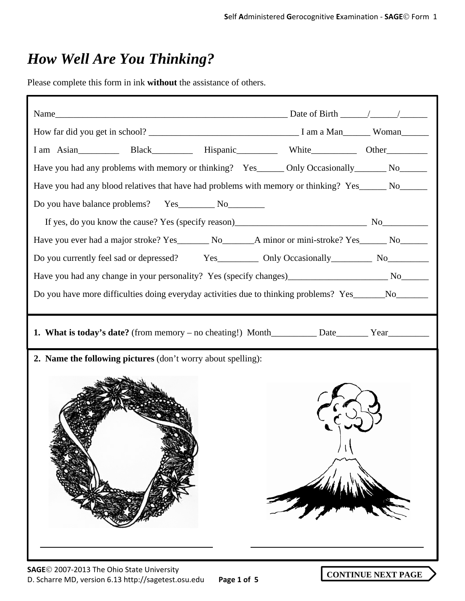### *How Well Are You Thinking?*

Please complete this form in ink **without** the assistance of others.

| I am Asian_____________ Black______________ Hispanic________________ White_____________ Other___________                     |  |  |
|------------------------------------------------------------------------------------------------------------------------------|--|--|
| Have you had any problems with memory or thinking? Yes_______ Only Occasionally________ No_______                            |  |  |
| Have you had any blood relatives that have had problems with memory or thinking? Yes______ No______                          |  |  |
|                                                                                                                              |  |  |
|                                                                                                                              |  |  |
| Have you ever had a major stroke? Yes__________ No_________________________A minor or mini-stroke? Yes_________ No__________ |  |  |
|                                                                                                                              |  |  |
|                                                                                                                              |  |  |
| Do you have more difficulties doing everyday activities due to thinking problems? Yes______No______                          |  |  |
|                                                                                                                              |  |  |
|                                                                                                                              |  |  |
| 2. Name the following pictures (don't worry about spelling):                                                                 |  |  |
|                                                                                                                              |  |  |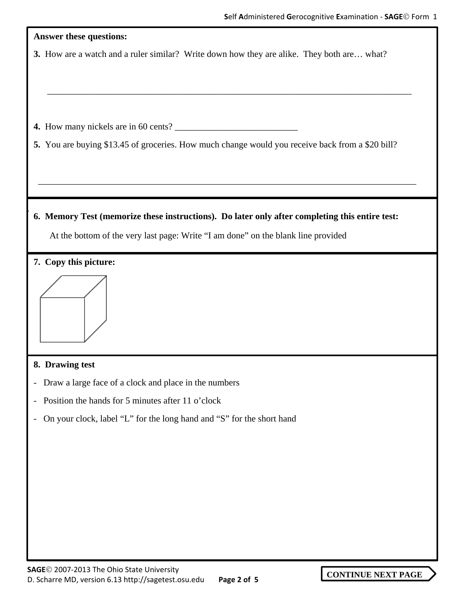| <b>Answer these questions:</b>                                                                    |
|---------------------------------------------------------------------------------------------------|
| 3. How are a watch and a ruler similar? Write down how they are alike. They both are what?        |
| 5. You are buying \$13.45 of groceries. How much change would you receive back from a \$20 bill?  |
|                                                                                                   |
| 6. Memory Test (memorize these instructions). Do later only after completing this entire test:    |
| At the bottom of the very last page: Write "I am done" on the blank line provided                 |
| 7. Copy this picture:                                                                             |
|                                                                                                   |
| 8. Drawing test                                                                                   |
| Draw a large face of a clock and place in the numbers<br>$\overline{\phantom{a}}$                 |
| Position the hands for 5 minutes after 11 o'clock<br>$\overline{\phantom{a}}$                     |
| On your clock, label "L" for the long hand and "S" for the short hand<br>$\overline{\phantom{a}}$ |
|                                                                                                   |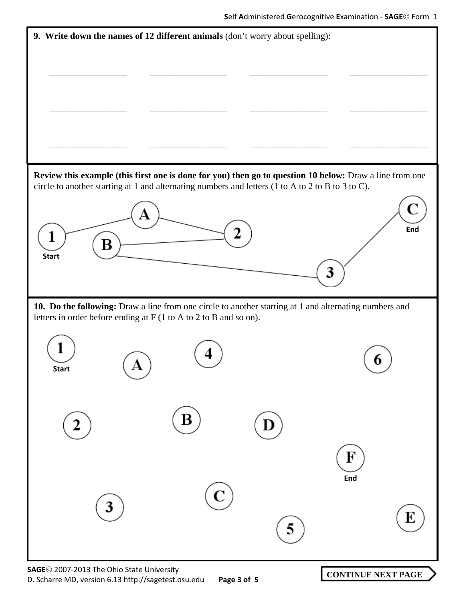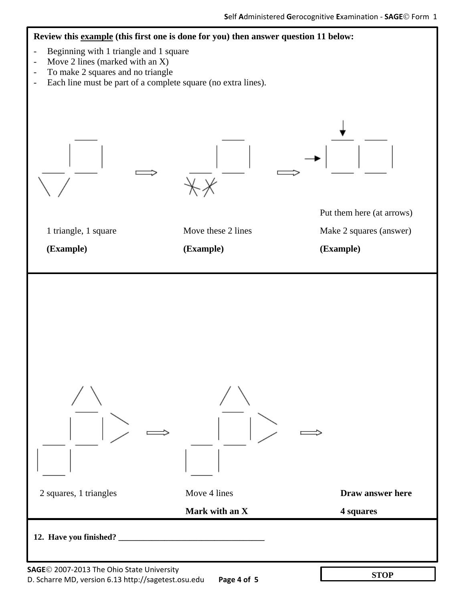